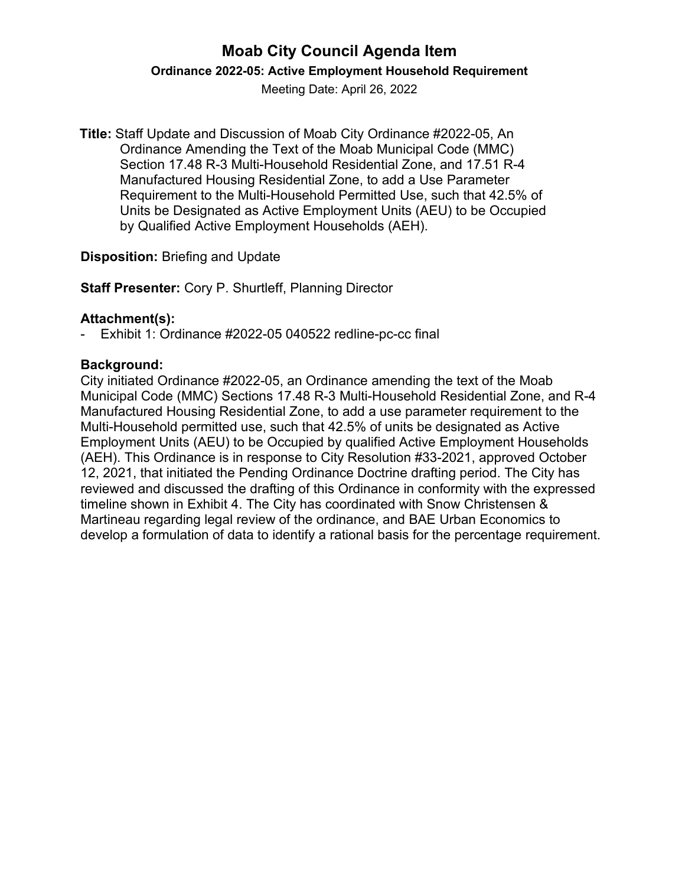# **Moab City Council Agenda Item**

**Ordinance 2022-05: Active Employment Household Requirement**

Meeting Date: April 26, 2022

**Title:** Staff Update and Discussion of Moab City Ordinance #2022-05, An Ordinance Amending the Text of the Moab Municipal Code (MMC) Section 17.48 R-3 Multi-Household Residential Zone, and 17.51 R-4 Manufactured Housing Residential Zone, to add a Use Parameter Requirement to the Multi-Household Permitted Use, such that 42.5% of Units be Designated as Active Employment Units (AEU) to be Occupied by Qualified Active Employment Households (AEH).

#### **Disposition:** Briefing and Update

**Staff Presenter:** Cory P. Shurtleff, Planning Director

## **Attachment(s):**

Exhibit 1: Ordinance #2022-05 040522 redline-pc-cc final

## **Background:**

City initiated Ordinance #2022-05, an Ordinance amending the text of the Moab Municipal Code (MMC) Sections 17.48 R-3 Multi-Household Residential Zone, and R-4 Manufactured Housing Residential Zone, to add a use parameter requirement to the Multi-Household permitted use, such that 42.5% of units be designated as Active Employment Units (AEU) to be Occupied by qualified Active Employment Households (AEH). This Ordinance is in response to City Resolution #33-2021, approved October 12, 2021, that initiated the Pending Ordinance Doctrine drafting period. The City has reviewed and discussed the drafting of this Ordinance in conformity with the expressed timeline shown in Exhibit 4. The City has coordinated with Snow Christensen & Martineau regarding legal review of the ordinance, and BAE Urban Economics to develop a formulation of data to identify a rational basis for the percentage requirement.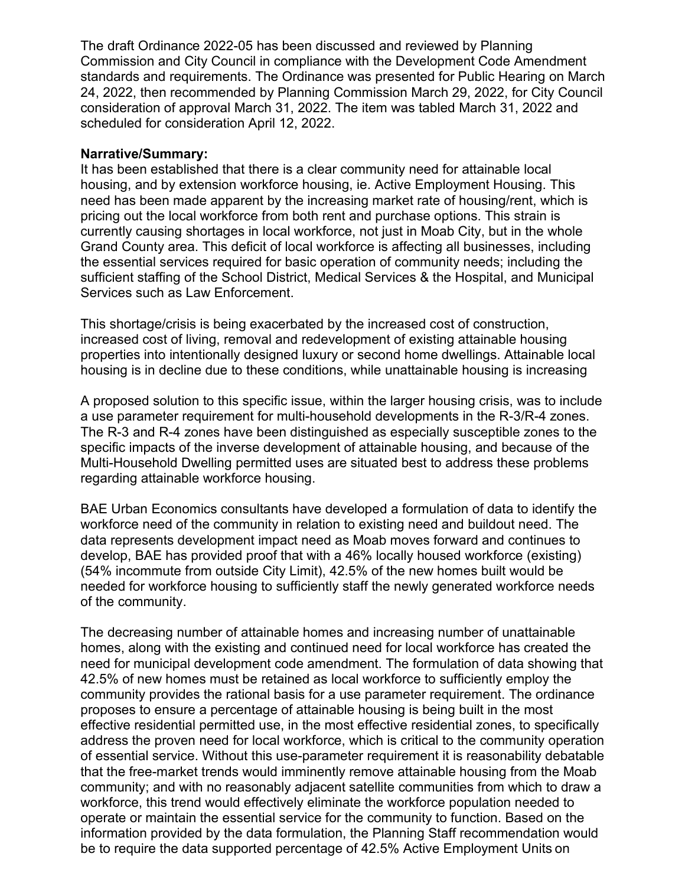The draft Ordinance 2022-05 has been discussed and reviewed by Planning Commission and City Council in compliance with the Development Code Amendment standards and requirements. The Ordinance was presented for Public Hearing on March 24, 2022, then recommended by Planning Commission March 29, 2022, for City Council consideration of approval March 31, 2022. The item was tabled March 31, 2022 and scheduled for consideration April 12, 2022.

#### **Narrative/Summary:**

It has been established that there is a clear community need for attainable local housing, and by extension workforce housing, ie. Active Employment Housing. This need has been made apparent by the increasing market rate of housing/rent, which is pricing out the local workforce from both rent and purchase options. This strain is currently causing shortages in local workforce, not just in Moab City, but in the whole Grand County area. This deficit of local workforce is affecting all businesses, including the essential services required for basic operation of community needs; including the sufficient staffing of the School District, Medical Services & the Hospital, and Municipal Services such as Law Enforcement.

This shortage/crisis is being exacerbated by the increased cost of construction, increased cost of living, removal and redevelopment of existing attainable housing properties into intentionally designed luxury or second home dwellings. Attainable local housing is in decline due to these conditions, while unattainable housing is increasing

A proposed solution to this specific issue, within the larger housing crisis, was to include a use parameter requirement for multi-household developments in the R-3/R-4 zones. The R-3 and R-4 zones have been distinguished as especially susceptible zones to the specific impacts of the inverse development of attainable housing, and because of the Multi-Household Dwelling permitted uses are situated best to address these problems regarding attainable workforce housing.

BAE Urban Economics consultants have developed a formulation of data to identify the workforce need of the community in relation to existing need and buildout need. The data represents development impact need as Moab moves forward and continues to develop, BAE has provided proof that with a 46% locally housed workforce (existing) (54% incommute from outside City Limit), 42.5% of the new homes built would be needed for workforce housing to sufficiently staff the newly generated workforce needs of the community.

The decreasing number of attainable homes and increasing number of unattainable homes, along with the existing and continued need for local workforce has created the need for municipal development code amendment. The formulation of data showing that 42.5% of new homes must be retained as local workforce to sufficiently employ the community provides the rational basis for a use parameter requirement. The ordinance proposes to ensure a percentage of attainable housing is being built in the most effective residential permitted use, in the most effective residential zones, to specifically address the proven need for local workforce, which is critical to the community operation of essential service. Without this use-parameter requirement it is reasonability debatable that the free-market trends would imminently remove attainable housing from the Moab community; and with no reasonably adjacent satellite communities from which to draw a workforce, this trend would effectively eliminate the workforce population needed to operate or maintain the essential service for the community to function. Based on the information provided by the data formulation, the Planning Staff recommendation would be to require the data supported percentage of 42.5% Active Employment Units on